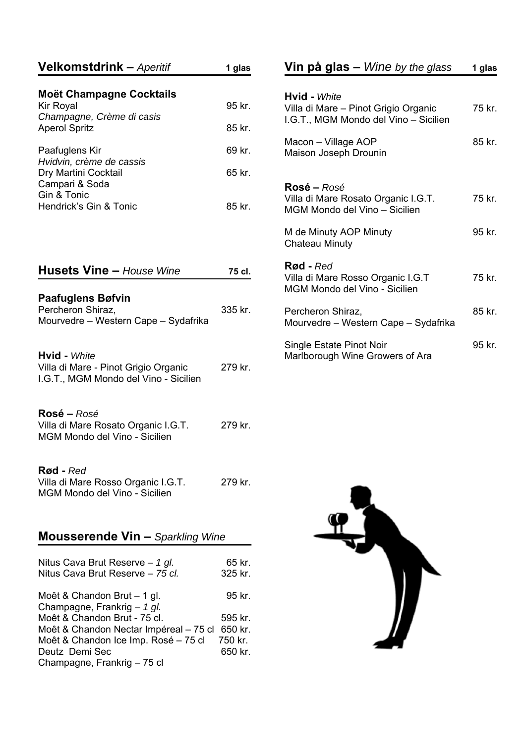| <b>Velkomstdrink –</b> Aperitif                                                                                | 1 glas                        |
|----------------------------------------------------------------------------------------------------------------|-------------------------------|
| <b>Moët Champagne Cocktails</b><br>Kir Royal<br>Champagne, Crème di casis<br><b>Aperol Spritz</b>              | 95 kr.<br>85 kr.              |
| Paafuglens Kir<br>Hvidvin, crème de cassis<br>Dry Martini Cocktail<br>Campari & Soda                           | 69 kr.<br>65 kr.              |
| Gin & Tonic<br>Hendrick's Gin & Tonic                                                                          | 85 kr.                        |
| <b>Husets Vine - House Wine</b>                                                                                | 75 cl.                        |
| <b>Paafuglens Bøfvin</b><br>Percheron Shiraz,<br>Mourvedre - Western Cape - Sydafrika                          | 335 kr.                       |
| <b>Hvid - White</b><br>Villa di Mare - Pinot Grigio Organic<br>I.G.T., MGM Mondo del Vino - Sicilien           | 279 kr.                       |
| Rosé – Rosé<br>Villa di Mare Rosato Organic I.G.T.<br>MGM Mondo del Vino - Sicilien                            | 279 kr.                       |
| Rød - Red<br>Villa di Mare Rosso Organic I.G.T.<br>MGM Mondo del Vino - Sicilien                               | 279 kr.                       |
| <b>Mousserende Vin - Sparkling Wine</b>                                                                        |                               |
| Nitus Cava Brut Reserve - 1 gl.<br>Nitus Cava Brut Reserve - 75 cl.                                            | 65 kr.<br>325 kr.             |
| Moêt & Chandon Brut – 1 gl.<br>Champagne, Frankrig - 1 gl.                                                     | 95 kr.                        |
| Moêt & Chandon Brut - 75 cl.<br>Moêt & Chandon Nectar Impéreal - 75 cl<br>Moêt & Chandon Ice Imp. Rosé - 75 cl | 595 kr.<br>650 kr.<br>750 kr. |

Deutz Demi Sec 650 kr.

Champagne, Frankrig – 75 cl

| <b>Vin på glas –</b> <i>Wine by the glass</i>                                              | 1 glas |
|--------------------------------------------------------------------------------------------|--------|
| <b>Hvid - White</b><br>Villa di Mare - Pinot Grigio Organic                                | 75 kr. |
| I.G.T., MGM Mondo del Vino - Sicilien                                                      |        |
| Macon – Village AOP<br>Maison Joseph Drounin                                               | 85 kr. |
| <b>Rosé –</b> Rosé<br>Villa di Mare Rosato Organic I.G.T.<br>MGM Mondo del Vino - Sicilien | 75 kr. |
| M de Minuty AOP Minuty<br><b>Chateau Minuty</b>                                            | 95 kr. |
| <b>Rød</b> - Red<br>Villa di Mare Rosso Organic I.G.T<br>MGM Mondo del Vino - Sicilien     | 75 kr. |
| Percheron Shiraz,<br>Mourvedre – Western Cape – Sydafrika                                  | 85 kr. |
| Single Estate Pinot Noir<br>Marlborough Wine Growers of Ara                                | 95 kr. |

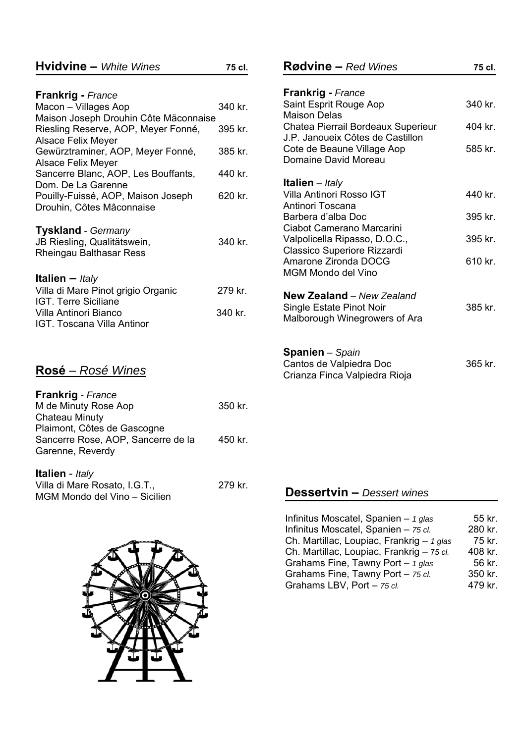| <b>Hvidvine - White Wines</b>         | 75 cl.  |
|---------------------------------------|---------|
|                                       |         |
| <b>Frankrig</b> - France              |         |
| Macon - Villages Aop                  | 340 kr. |
| Maison Joseph Drouhin Côte Mäconnaise |         |
| Riesling Reserve, AOP, Meyer Fonné,   | 395 kr. |
| <b>Alsace Felix Meyer</b>             |         |
| Gewürztraminer, AOP, Meyer Fonné,     | 385 kr. |
| <b>Alsace Felix Meyer</b>             |         |
| Sancerre Blanc, AOP, Les Bouffants,   | 440 kr. |
| Dom. De La Garenne                    |         |
| Pouilly-Fuissé, AOP, Maison Joseph    | 620 kr. |
| Drouhin, Côtes Mâconnaise             |         |
|                                       |         |
| <b>Tyskland</b> - Germany             |         |
| JB Riesling, Qualitätswein,           | 340 kr. |
| Rheingau Balthasar Ress               |         |
|                                       |         |
|                                       |         |
| <b>Italien</b> – <i>Italy</i>         |         |
| Villa di Mare Pinot grigio Organic    | 279 kr. |
| IGT. Terre Siciliane                  |         |
| Villa Antinori Bianco                 | 340 kr. |
| IGT. Toscana Villa Antinor            |         |
|                                       |         |
|                                       |         |

## **Rosé** – *Rosé Wines*

| <b>Frankrig</b> - France           |         |
|------------------------------------|---------|
| M de Minuty Rose Aop               | 350 kr. |
| <b>Chateau Minuty</b>              |         |
| Plaimont, Côtes de Gascogne        |         |
| Sancerre Rose, AOP, Sancerre de la | 450 kr. |
| Garenne, Reverdy                   |         |
|                                    |         |
| Italian Italy                      |         |

| <b>Rallen</b> - <i>Raly</i>   |         |
|-------------------------------|---------|
| Villa di Mare Rosato, I.G.T., | 279 kr. |
| MGM Mondo del Vino – Sicilien |         |



| <b>Rødvine – Red Wines</b>                                 | 75 cl.    |
|------------------------------------------------------------|-----------|
|                                                            |           |
| <b>Frankrig - France</b><br>Saint Esprit Rouge Aop         | 340 kr.   |
| Maison Delas<br>Chatea Pierrail Bordeaux Superieur         | 404 kr.   |
| J P. Janoueix Côtes de Castillon                           |           |
| Cote de Beaune Village Aop<br>Domaine David Moreau         | 585 kr.   |
|                                                            |           |
| <b>Italien</b> – Italy<br>Villa Antinori Rosso IGT         | 440 kr.   |
| Antinori Toscana                                           |           |
| Barbera d'alba Doc                                         | 395 kr.   |
| Ciabot Camerano Marcarini<br>Valpolicella Ripasso, D.O.C., | $395$ kr. |
| <b>Classico Superiore Rizzardi</b>                         |           |
| Amarone Zironda DOCG<br>MGM Mondo del Vino                 | 610 kr.   |
|                                                            |           |
| New Zealand - New Zealand<br>Single Estate Pinot Noir      | 385 kr.   |
| Malborough Winegrowers of Ara                              |           |
|                                                            |           |
| Snanion – Snain                                            |           |

| <b>Spanien</b> - Spain        |         |
|-------------------------------|---------|
| Cantos de Valpiedra Doc       | 365 kr. |
| Crianza Finca Valpiedra Rioja |         |

## **Dessertvin –** *Dessert wines*

| Infinitus Moscatel, Spanien $-$ 1 glas      | 55 kr.  |
|---------------------------------------------|---------|
| Infinitus Moscatel, Spanien - 75 cl.        | 280 kr. |
| Ch. Martillac, Loupiac, Frankrig $-$ 1 glas | 75 kr.  |
| Ch. Martillac, Loupiac, Frankrig - 75 cl.   | 408 kr. |
| Grahams Fine, Tawny Port $-$ 1 glas         | 56 kr.  |
| Grahams Fine, Tawny Port - 75 cl.           | 350 kr. |
| Grahams LBV, Port - 75 cl.                  | 479 kr. |